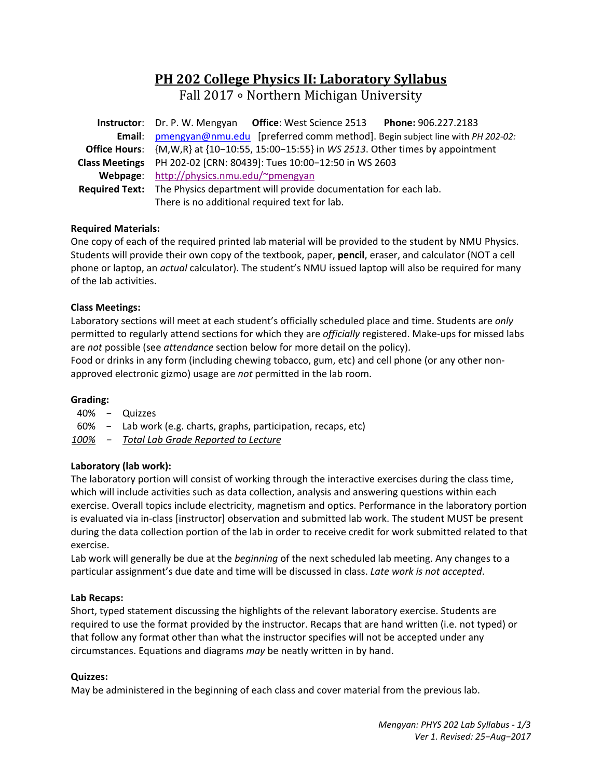# **PH 202 College Physics II: Laboratory Syllabus**

Fall 2017 • Northern Michigan University

| Instructor: Dr. P. W. Mengyan Office: West Science 2513 Phone: 906.227.2183                            |  |  |  |
|--------------------------------------------------------------------------------------------------------|--|--|--|
| Email: pmengyan@nmu.edu [preferred comm method]. Begin subject line with PH 202-02:                    |  |  |  |
| <b>Office Hours:</b> $\{M,W,R\}$ at $\{10-10:55, 15:00-15:55\}$ in WS 2513. Other times by appointment |  |  |  |
| Class Meetings PH 202-02 [CRN: 80439]: Tues 10:00-12:50 in WS 2603                                     |  |  |  |
| Webpage: http://physics.nmu.edu/~pmengyan                                                              |  |  |  |
| Required Text: The Physics department will provide documentation for each lab.                         |  |  |  |
| There is no additional required text for lab.                                                          |  |  |  |

# **Required Materials:**

One copy of each of the required printed lab material will be provided to the student by NMU Physics. Students will provide their own copy of the textbook, paper, **pencil**, eraser, and calculator (NOT a cell phone or laptop, an *actual* calculator). The student's NMU issued laptop will also be required for many of the lab activities.

# **Class Meetings:**

Laboratory sections will meet at each student's officially scheduled place and time. Students are *only* permitted to regularly attend sections for which they are *officially* registered. Make-ups for missed labs are *not* possible (see *attendance* section below for more detail on the policy).

Food or drinks in any form (including chewing tobacco, gum, etc) and cell phone (or any other non‐ approved electronic gizmo) usage are *not* permitted in the lab room.

# **Grading:**

- 40% − Quizzes
- 60% − Lab work (e.g. charts, graphs, participation, recaps, etc)
- *100% − Total Lab Grade Reported to Lecture*

# **Laboratory (lab work):**

The laboratory portion will consist of working through the interactive exercises during the class time, which will include activities such as data collection, analysis and answering questions within each exercise. Overall topics include electricity, magnetism and optics. Performance in the laboratory portion is evaluated via in‐class [instructor] observation and submitted lab work. The student MUST be present during the data collection portion of the lab in order to receive credit for work submitted related to that exercise.

Lab work will generally be due at the *beginning* of the next scheduled lab meeting. Any changes to a particular assignment's due date and time will be discussed in class. *Late work is not accepted*.

# **Lab Recaps:**

Short, typed statement discussing the highlights of the relevant laboratory exercise. Students are required to use the format provided by the instructor. Recaps that are hand written (i.e. not typed) or that follow any format other than what the instructor specifies will not be accepted under any circumstances. Equations and diagrams *may* be neatly written in by hand.

# **Quizzes:**

May be administered in the beginning of each class and cover material from the previous lab.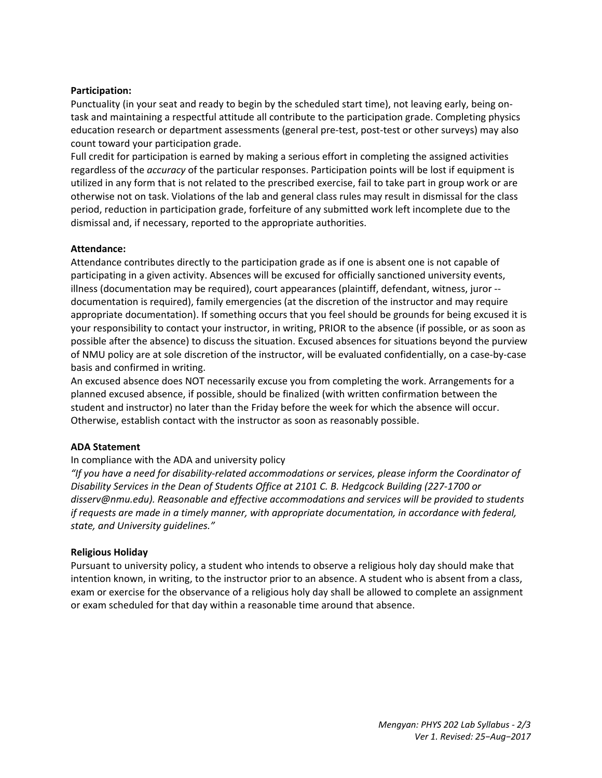# **Participation:**

Punctuality (in your seat and ready to begin by the scheduled start time), not leaving early, being on‐ task and maintaining a respectful attitude all contribute to the participation grade. Completing physics education research or department assessments (general pre-test, post-test or other surveys) may also count toward your participation grade.

Full credit for participation is earned by making a serious effort in completing the assigned activities regardless of the *accuracy* of the particular responses. Participation points will be lost if equipment is utilized in any form that is not related to the prescribed exercise, fail to take part in group work or are otherwise not on task. Violations of the lab and general class rules may result in dismissal for the class period, reduction in participation grade, forfeiture of any submitted work left incomplete due to the dismissal and, if necessary, reported to the appropriate authorities.

# **Attendance:**

Attendance contributes directly to the participation grade as if one is absent one is not capable of participating in a given activity. Absences will be excused for officially sanctioned university events, illness (documentation may be required), court appearances (plaintiff, defendant, witness, juror ‐‐ documentation is required), family emergencies (at the discretion of the instructor and may require appropriate documentation). If something occurs that you feel should be grounds for being excused it is your responsibility to contact your instructor, in writing, PRIOR to the absence (if possible, or as soon as possible after the absence) to discuss the situation. Excused absences for situations beyond the purview of NMU policy are at sole discretion of the instructor, will be evaluated confidentially, on a case‐by‐case basis and confirmed in writing.

An excused absence does NOT necessarily excuse you from completing the work. Arrangements for a planned excused absence, if possible, should be finalized (with written confirmation between the student and instructor) no later than the Friday before the week for which the absence will occur. Otherwise, establish contact with the instructor as soon as reasonably possible.

# **ADA Statement**

# In compliance with the ADA and university policy

*"If you have a need for disability‐related accommodations or services, please inform the Coordinator of Disability Services in the Dean of Students Office at 2101 C. B. Hedgcock Building (227‐1700 or disserv@nmu.edu). Reasonable and effective accommodations and services will be provided to students if requests are made in a timely manner, with appropriate documentation, in accordance with federal, state, and University guidelines."* 

# **Religious Holiday**

Pursuant to university policy, a student who intends to observe a religious holy day should make that intention known, in writing, to the instructor prior to an absence. A student who is absent from a class, exam or exercise for the observance of a religious holy day shall be allowed to complete an assignment or exam scheduled for that day within a reasonable time around that absence.